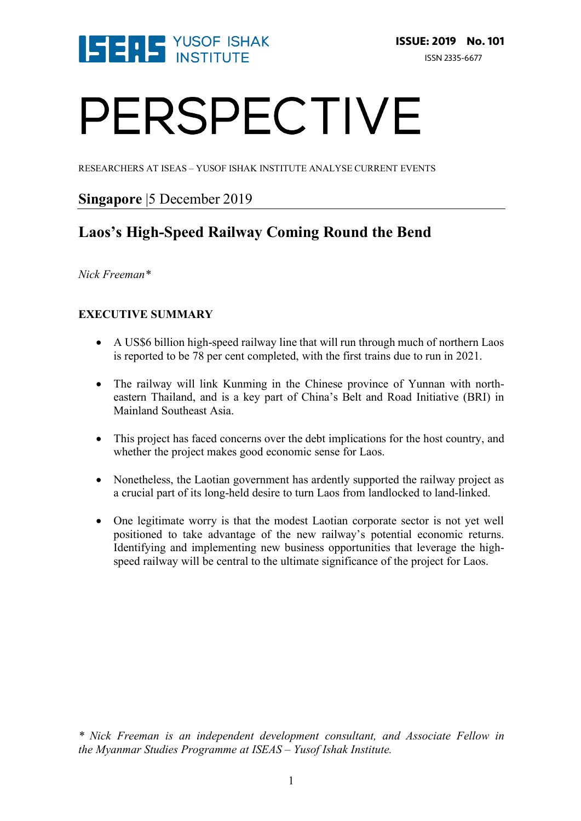

# PERSPECTIVE

RESEARCHERS AT ISEAS – YUSOF ISHAK INSTITUTE ANALYSE CURRENT EVENTS

### **Singapore** |5 December 2019

## **Laos's High-Speed Railway Coming Round the Bend**

#### *Nick Freeman\**

#### **EXECUTIVE SUMMARY**

- A US\$6 billion high-speed railway line that will run through much of northern Laos is reported to be 78 per cent completed, with the first trains due to run in 2021.
- The railway will link Kunming in the Chinese province of Yunnan with northeastern Thailand, and is a key part of China's Belt and Road Initiative (BRI) in Mainland Southeast Asia.
- This project has faced concerns over the debt implications for the host country, and whether the project makes good economic sense for Laos.
- Nonetheless, the Laotian government has ardently supported the railway project as a crucial part of its long-held desire to turn Laos from landlocked to land-linked.
- One legitimate worry is that the modest Laotian corporate sector is not yet well positioned to take advantage of the new railway's potential economic returns. Identifying and implementing new business opportunities that leverage the highspeed railway will be central to the ultimate significance of the project for Laos.

*\* Nick Freeman is an independent development consultant, and Associate Fellow in the Myanmar Studies Programme at ISEAS – Yusof Ishak Institute.*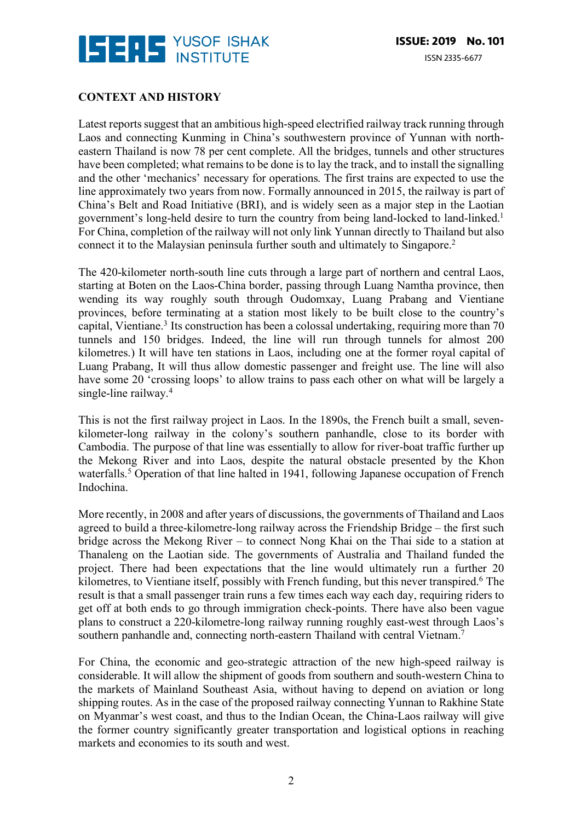

#### **CONTEXT AND HISTORY**

Latest reports suggest that an ambitious high-speed electrified railway track running through Laos and connecting Kunming in China's southwestern province of Yunnan with northeastern Thailand is now 78 per cent complete. All the bridges, tunnels and other structures have been completed; what remains to be done is to lay the track, and to install the signalling and the other 'mechanics' necessary for operations. The first trains are expected to use the line approximately two years from now. Formally announced in 2015, the railway is part of China's Belt and Road Initiative (BRI), and is widely seen as a major step in the Laotian government's long-held desire to turn the country from being land-locked to land-linked.1 For China, completion of the railway will not only link Yunnan directly to Thailand but also connect it to the Malaysian peninsula further south and ultimately to Singapore.2

The 420-kilometer north-south line cuts through a large part of northern and central Laos, starting at Boten on the Laos-China border, passing through Luang Namtha province, then wending its way roughly south through Oudomxay, Luang Prabang and Vientiane provinces, before terminating at a station most likely to be built close to the country's capital, Vientiane.<sup>3</sup> Its construction has been a colossal undertaking, requiring more than 70 tunnels and 150 bridges. Indeed, the line will run through tunnels for almost 200 kilometres.) It will have ten stations in Laos, including one at the former royal capital of Luang Prabang, It will thus allow domestic passenger and freight use. The line will also have some 20 'crossing loops' to allow trains to pass each other on what will be largely a single-line railway. 4

This is not the first railway project in Laos. In the 1890s, the French built a small, sevenkilometer-long railway in the colony's southern panhandle, close to its border with Cambodia. The purpose of that line was essentially to allow for river-boat traffic further up the Mekong River and into Laos, despite the natural obstacle presented by the Khon waterfalls.<sup>5</sup> Operation of that line halted in 1941, following Japanese occupation of French Indochina.

More recently, in 2008 and after years of discussions, the governments of Thailand and Laos agreed to build a three-kilometre-long railway across the Friendship Bridge – the first such bridge across the Mekong River – to connect Nong Khai on the Thai side to a station at Thanaleng on the Laotian side. The governments of Australia and Thailand funded the project. There had been expectations that the line would ultimately run a further 20 kilometres, to Vientiane itself, possibly with French funding, but this never transpired. <sup>6</sup> The result is that a small passenger train runs a few times each way each day, requiring riders to get off at both ends to go through immigration check-points. There have also been vague plans to construct a 220-kilometre-long railway running roughly east-west through Laos's southern panhandle and, connecting north-eastern Thailand with central Vietnam.<sup>7</sup>

For China, the economic and geo-strategic attraction of the new high-speed railway is considerable. It will allow the shipment of goods from southern and south-western China to the markets of Mainland Southeast Asia, without having to depend on aviation or long shipping routes. As in the case of the proposed railway connecting Yunnan to Rakhine State on Myanmar's west coast, and thus to the Indian Ocean, the China-Laos railway will give the former country significantly greater transportation and logistical options in reaching markets and economies to its south and west.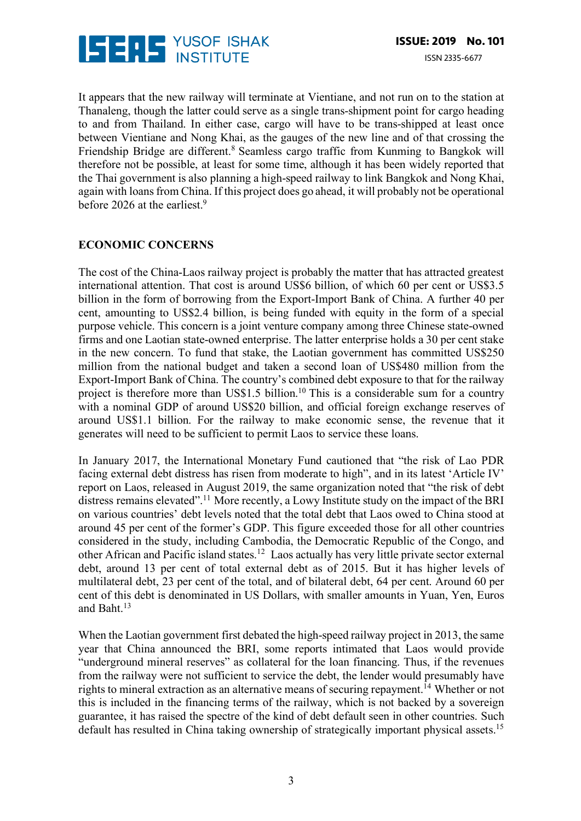

It appears that the new railway will terminate at Vientiane, and not run on to the station at Thanaleng, though the latter could serve as a single trans-shipment point for cargo heading to and from Thailand. In either case, cargo will have to be trans-shipped at least once between Vientiane and Nong Khai, as the gauges of the new line and of that crossing the Friendship Bridge are different.<sup>8</sup> Seamless cargo traffic from Kunming to Bangkok will therefore not be possible, at least for some time, although it has been widely reported that the Thai government is also planning a high-speed railway to link Bangkok and Nong Khai, again with loans from China. If this project does go ahead, it will probably not be operational before 2026 at the earliest.<sup>9</sup>

#### **ECONOMIC CONCERNS**

The cost of the China-Laos railway project is probably the matter that has attracted greatest international attention. That cost is around US\$6 billion, of which 60 per cent or US\$3.5 billion in the form of borrowing from the Export-Import Bank of China. A further 40 per cent, amounting to US\$2.4 billion, is being funded with equity in the form of a special purpose vehicle. This concern is a joint venture company among three Chinese state-owned firms and one Laotian state-owned enterprise. The latter enterprise holds a 30 per cent stake in the new concern. To fund that stake, the Laotian government has committed US\$250 million from the national budget and taken a second loan of US\$480 million from the Export-Import Bank of China. The country's combined debt exposure to that for the railway project is therefore more than US\$1.5 billion.<sup>10</sup> This is a considerable sum for a country with a nominal GDP of around US\$20 billion, and official foreign exchange reserves of around US\$1.1 billion. For the railway to make economic sense, the revenue that it generates will need to be sufficient to permit Laos to service these loans.

In January 2017, the International Monetary Fund cautioned that "the risk of Lao PDR facing external debt distress has risen from moderate to high", and in its latest 'Article IV' report on Laos, released in August 2019, the same organization noted that "the risk of debt distress remains elevated".11 More recently, a Lowy Institute study on the impact of the BRI on various countries' debt levels noted that the total debt that Laos owed to China stood at around 45 per cent of the former's GDP. This figure exceeded those for all other countries considered in the study, including Cambodia, the Democratic Republic of the Congo, and other African and Pacific island states.12 Laos actually has very little private sector external debt, around 13 per cent of total external debt as of 2015. But it has higher levels of multilateral debt, 23 per cent of the total, and of bilateral debt, 64 per cent. Around 60 per cent of this debt is denominated in US Dollars, with smaller amounts in Yuan, Yen, Euros and Baht.13

When the Laotian government first debated the high-speed railway project in 2013, the same year that China announced the BRI, some reports intimated that Laos would provide "underground mineral reserves" as collateral for the loan financing. Thus, if the revenues from the railway were not sufficient to service the debt, the lender would presumably have rights to mineral extraction as an alternative means of securing repayment.<sup> $14$ </sup> Whether or not this is included in the financing terms of the railway, which is not backed by a sovereign guarantee, it has raised the spectre of the kind of debt default seen in other countries. Such default has resulted in China taking ownership of strategically important physical assets.<sup>15</sup>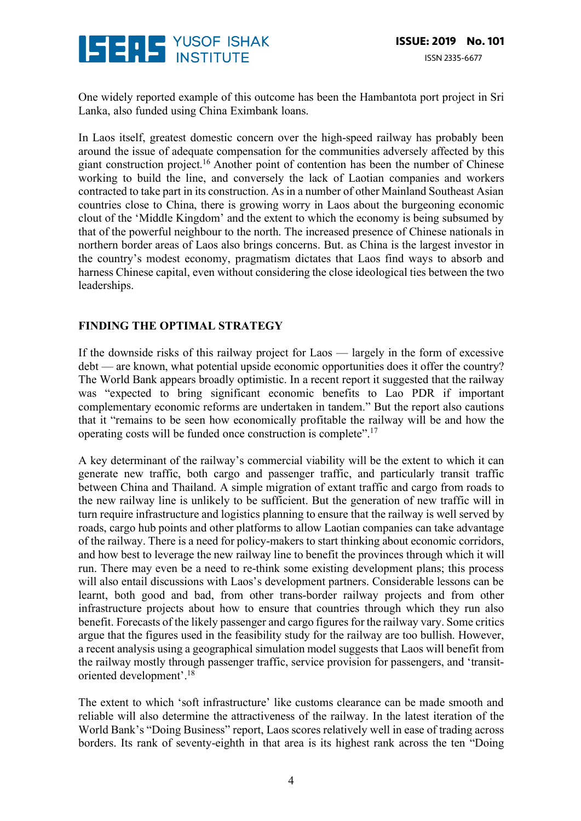

One widely reported example of this outcome has been the Hambantota port project in Sri Lanka, also funded using China Eximbank loans.

In Laos itself, greatest domestic concern over the high-speed railway has probably been around the issue of adequate compensation for the communities adversely affected by this giant construction project.16 Another point of contention has been the number of Chinese working to build the line, and conversely the lack of Laotian companies and workers contracted to take part in its construction. As in a number of other Mainland Southeast Asian countries close to China, there is growing worry in Laos about the burgeoning economic clout of the 'Middle Kingdom' and the extent to which the economy is being subsumed by that of the powerful neighbour to the north. The increased presence of Chinese nationals in northern border areas of Laos also brings concerns. But. as China is the largest investor in the country's modest economy, pragmatism dictates that Laos find ways to absorb and harness Chinese capital, even without considering the close ideological ties between the two leaderships.

#### **FINDING THE OPTIMAL STRATEGY**

If the downside risks of this railway project for Laos — largely in the form of excessive debt — are known, what potential upside economic opportunities does it offer the country? The World Bank appears broadly optimistic. In a recent report it suggested that the railway was "expected to bring significant economic benefits to Lao PDR if important complementary economic reforms are undertaken in tandem." But the report also cautions that it "remains to be seen how economically profitable the railway will be and how the operating costs will be funded once construction is complete".17

A key determinant of the railway's commercial viability will be the extent to which it can generate new traffic, both cargo and passenger traffic, and particularly transit traffic between China and Thailand. A simple migration of extant traffic and cargo from roads to the new railway line is unlikely to be sufficient. But the generation of new traffic will in turn require infrastructure and logistics planning to ensure that the railway is well served by roads, cargo hub points and other platforms to allow Laotian companies can take advantage of the railway. There is a need for policy-makers to start thinking about economic corridors, and how best to leverage the new railway line to benefit the provinces through which it will run. There may even be a need to re-think some existing development plans; this process will also entail discussions with Laos's development partners. Considerable lessons can be learnt, both good and bad, from other trans-border railway projects and from other infrastructure projects about how to ensure that countries through which they run also benefit. Forecasts of the likely passenger and cargo figures for the railway vary. Some critics argue that the figures used in the feasibility study for the railway are too bullish. However, a recent analysis using a geographical simulation model suggests that Laos will benefit from the railway mostly through passenger traffic, service provision for passengers, and 'transitoriented development'.18

The extent to which 'soft infrastructure' like customs clearance can be made smooth and reliable will also determine the attractiveness of the railway. In the latest iteration of the World Bank's "Doing Business" report, Laos scores relatively well in ease of trading across borders. Its rank of seventy-eighth in that area is its highest rank across the ten "Doing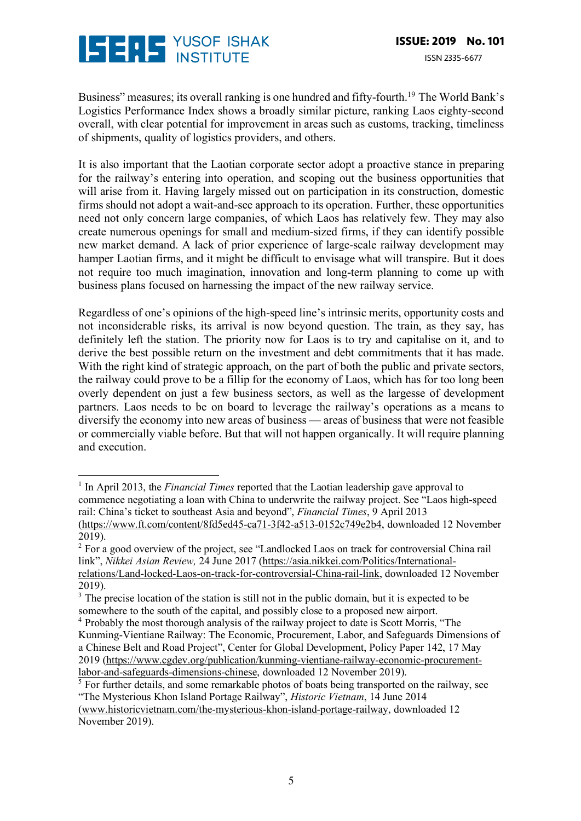

 

Business" measures; its overall ranking is one hundred and fifty-fourth.<sup>19</sup> The World Bank's Logistics Performance Index shows a broadly similar picture, ranking Laos eighty-second overall, with clear potential for improvement in areas such as customs, tracking, timeliness of shipments, quality of logistics providers, and others.

It is also important that the Laotian corporate sector adopt a proactive stance in preparing for the railway's entering into operation, and scoping out the business opportunities that will arise from it. Having largely missed out on participation in its construction, domestic firms should not adopt a wait-and-see approach to its operation. Further, these opportunities need not only concern large companies, of which Laos has relatively few. They may also create numerous openings for small and medium-sized firms, if they can identify possible new market demand. A lack of prior experience of large-scale railway development may hamper Laotian firms, and it might be difficult to envisage what will transpire. But it does not require too much imagination, innovation and long-term planning to come up with business plans focused on harnessing the impact of the new railway service.

Regardless of one's opinions of the high-speed line's intrinsic merits, opportunity costs and not inconsiderable risks, its arrival is now beyond question. The train, as they say, has definitely left the station. The priority now for Laos is to try and capitalise on it, and to derive the best possible return on the investment and debt commitments that it has made. With the right kind of strategic approach, on the part of both the public and private sectors, the railway could prove to be a fillip for the economy of Laos, which has for too long been overly dependent on just a few business sectors, as well as the largesse of development partners. Laos needs to be on board to leverage the railway's operations as a means to diversify the economy into new areas of business — areas of business that were not feasible or commercially viable before. But that will not happen organically. It will require planning and execution.

<sup>&</sup>lt;sup>1</sup> In April 2013, the *Financial Times* reported that the Laotian leadership gave approval to commence negotiating a loan with China to underwrite the railway project. See "Laos high-speed rail: China's ticket to southeast Asia and beyond", *Financial Times*, 9 April 2013 (https://www.ft.com/content/8fd5ed45-ca71-3f42-a513-0152c749e2b4, downloaded 12 November 2019).

<sup>&</sup>lt;sup>2</sup> For a good overview of the project, see "Landlocked Laos on track for controversial China rail link", *Nikkei Asian Review,* 24 June 2017 (https://asia.nikkei.com/Politics/Internationalrelations/Land-locked-Laos-on-track-for-controversial-China-rail-link, downloaded 12 November 2019).

<sup>&</sup>lt;sup>3</sup> The precise location of the station is still not in the public domain, but it is expected to be somewhere to the south of the capital, and possibly close to a proposed new airport.

<sup>4</sup> Probably the most thorough analysis of the railway project to date is Scott Morris, "The Kunming-Vientiane Railway: The Economic, Procurement, Labor, and Safeguards Dimensions of a Chinese Belt and Road Project", Center for Global Development, Policy Paper 142, 17 May 2019 (https://www.cgdev.org/publication/kunming-vientiane-railway-economic-procurementlabor-and-safeguards-dimensions-chinese, downloaded 12 November 2019).

<sup>&</sup>lt;sup>5</sup> For further details, and some remarkable photos of boats being transported on the railway, see "The Mysterious Khon Island Portage Railway", *Historic Vietnam*, 14 June 2014

<sup>(</sup>www.historicvietnam.com/the-mysterious-khon-island-portage-railway, downloaded 12 November 2019).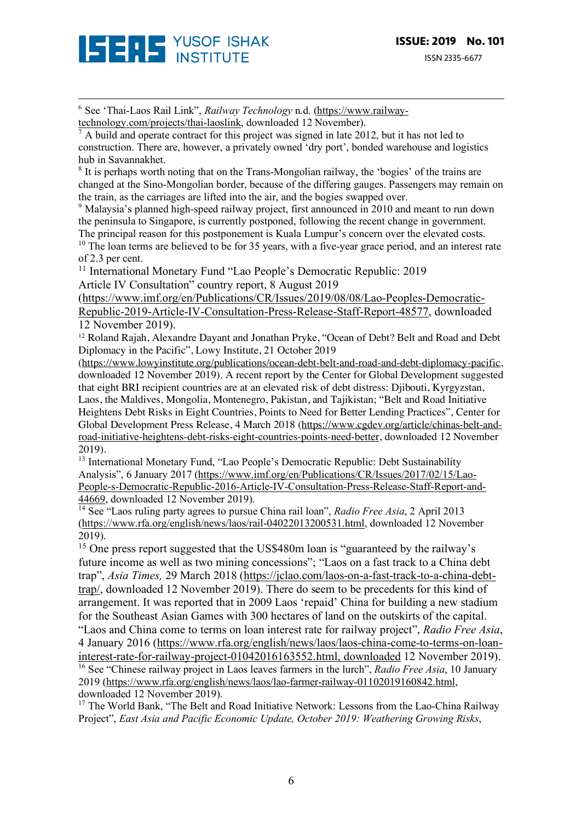

<sup>6</sup> See 'Thai-Laos Rail Link", *Railway Technology* n.d. (https://www.railwaytechnology.com/projects/thai-laoslink, downloaded 12 November).

<sup>7</sup> A build and operate contract for this project was signed in late 2012, but it has not led to construction. There are, however, a privately owned 'dry port', bonded warehouse and logistics hub in Savannakhet.

<sup>8</sup> It is perhaps worth noting that on the Trans-Mongolian railway, the 'bogies' of the trains are changed at the Sino-Mongolian border, because of the differing gauges. Passengers may remain on the train, as the carriages are lifted into the air, and the bogies swapped over.

<u> 1989 - Andrea San Andrew Maria (h. 1989).</u><br>1900 - Andrew Maria (h. 1980).

<sup>9</sup> Malaysia's planned high-speed railway project, first announced in 2010 and meant to run down the peninsula to Singapore, is currently postponed, following the recent change in government. The principal reason for this postponement is Kuala Lumpur's concern over the elevated costs.

<sup>10</sup> The loan terms are believed to be for 35 years, with a five-year grace period, and an interest rate of 2.3 per cent.

<sup>11</sup> International Monetary Fund "Lao People's Democratic Republic: 2019 Article IV Consultation" country report, 8 August 2019

(https://www.imf.org/en/Publications/CR/Issues/2019/08/08/Lao-Peoples-Democratic-Republic-2019-Article-IV-Consultation-Press-Release-Staff-Report-48577, downloaded 12 November 2019).

<sup>12</sup> Roland Rajah, Alexandre Dayant and Jonathan Pryke, "Ocean of Debt? Belt and Road and Debt Diplomacy in the Pacific", Lowy Institute, 21 October 2019

(https://www.lowyinstitute.org/publications/ocean-debt-belt-and-road-and-debt-diplomacy-pacific, downloaded 12 November 2019). A recent report by the Center for Global Development suggested that eight BRI recipient countries are at an elevated risk of debt distress: Djibouti, Kyrgyzstan, Laos, the Maldives, Mongolia, Montenegro, Pakistan, and Tajikistan; "Belt and Road Initiative Heightens Debt Risks in Eight Countries, Points to Need for Better Lending Practices", Center for Global Development Press Release, 4 March 2018 (https://www.cgdev.org/article/chinas-belt-androad-initiative-heightens-debt-risks-eight-countries-points-need-better, downloaded 12 November 2019).

<sup>13</sup> International Monetary Fund, "Lao People's Democratic Republic: Debt Sustainability Analysis", 6 January 2017 (https://www.imf.org/en/Publications/CR/Issues/2017/02/15/Lao-People-s-Democratic-Republic-2016-Article-IV-Consultation-Press-Release-Staff-Report-and-44669, downloaded 12 November 2019).

<sup>14</sup> See "Laos ruling party agrees to pursue China rail loan", *Radio Free Asia*, 2 April 2013 (https://www.rfa.org/english/news/laos/rail-04022013200531.html, downloaded 12 November 2019).

<sup>15</sup> One press report suggested that the US\$480m loan is "guaranteed by the railway's future income as well as two mining concessions"; "Laos on a fast track to a China debt trap", *Asia Times,* 29 March 2018 (https://jclao.com/laos-on-a-fast-track-to-a-china-debttrap/, downloaded 12 November 2019). There do seem to be precedents for this kind of arrangement. It was reported that in 2009 Laos 'repaid' China for building a new stadium for the Southeast Asian Games with 300 hectares of land on the outskirts of the capital. "Laos and China come to terms on loan interest rate for railway project", *Radio Free Asia*, 4 January 2016 (https://www.rfa.org/english/news/laos/laos-china-come-to-terms-on-loaninterest-rate-for-railway-project-01042016163552.html, downloaded 12 November 2019). <sup>16</sup> See "Chinese railway project in Laos leaves farmers in the lurch", *Radio Free Asia*, 10 January 2019 (https://www.rfa.org/english/news/laos/lao-farmer-railway-01102019160842.html, downloaded 12 November 2019).

<sup>17</sup> The World Bank, "The Belt and Road Initiative Network: Lessons from the Lao-China Railway Project", *East Asia and Pacific Economic Update, October 2019: Weathering Growing Risks*,